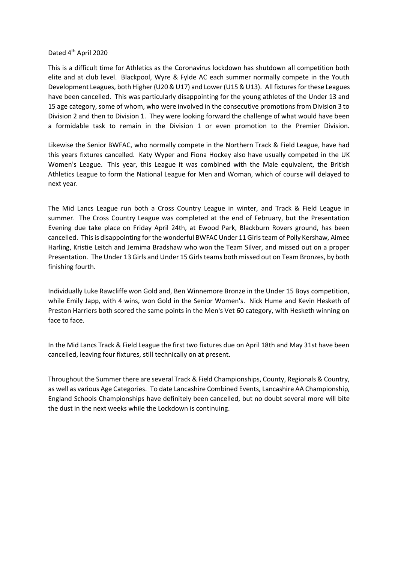## Dated 4th April 2020

This is a difficult time for Athletics as the Coronavirus lockdown has shutdown all competition both elite and at club level. Blackpool, Wyre & Fylde AC each summer normally compete in the Youth Development Leagues, both Higher (U20 & U17) and Lower (U15 & U13). All fixtures for these Leagues have been cancelled. This was particularly disappointing for the young athletes of the Under 13 and 15 age category, some of whom, who were involved in the consecutive promotions from Division 3 to Division 2 and then to Division 1. They were looking forward the challenge of what would have been a formidable task to remain in the Division 1 or even promotion to the Premier Division.

Likewise the Senior BWFAC, who normally compete in the Northern Track & Field League, have had this years fixtures cancelled. Katy Wyper and Fiona Hockey also have usually competed in the UK Women's League. This year, this League it was combined with the Male equivalent, the British Athletics League to form the National League for Men and Woman, which of course will delayed to next year.

The Mid Lancs League run both a Cross Country League in winter, and Track & Field League in summer. The Cross Country League was completed at the end of February, but the Presentation Evening due take place on Friday April 24th, at Ewood Park, Blackburn Rovers ground, has been cancelled. This is disappointing for the wonderful BWFAC Under 11 Girls team of Polly Kershaw, Aimee Harling, Kristie Leitch and Jemima Bradshaw who won the Team Silver, and missed out on a proper Presentation. The Under 13 Girls and Under 15 Girls teams both missed out on Team Bronzes, by both finishing fourth.

Individually Luke Rawcliffe won Gold and, Ben Winnemore Bronze in the Under 15 Boys competition, while Emily Japp, with 4 wins, won Gold in the Senior Women's. Nick Hume and Kevin Hesketh of Preston Harriers both scored the same points in the Men's Vet 60 category, with Hesketh winning on face to face.

In the Mid Lancs Track & Field League the first two fixtures due on April 18th and May 31st have been cancelled, leaving four fixtures, still technically on at present.

Throughout the Summer there are several Track & Field Championships, County, Regionals & Country, as well as various Age Categories. To date Lancashire Combined Events, Lancashire AA Championship, England Schools Championships have definitely been cancelled, but no doubt several more will bite the dust in the next weeks while the Lockdown is continuing.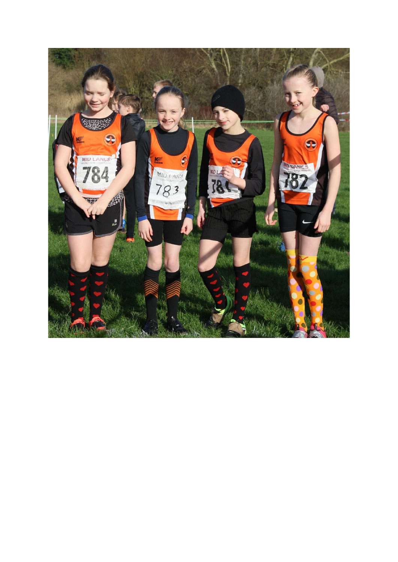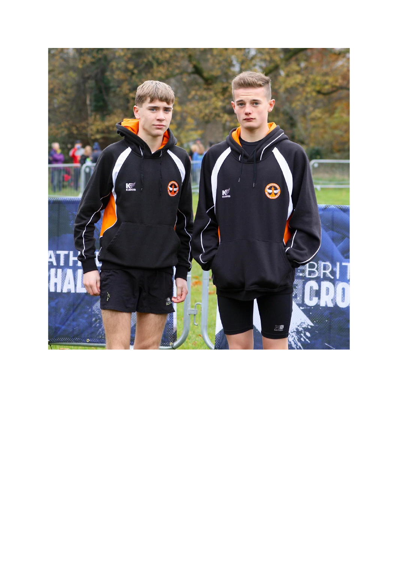